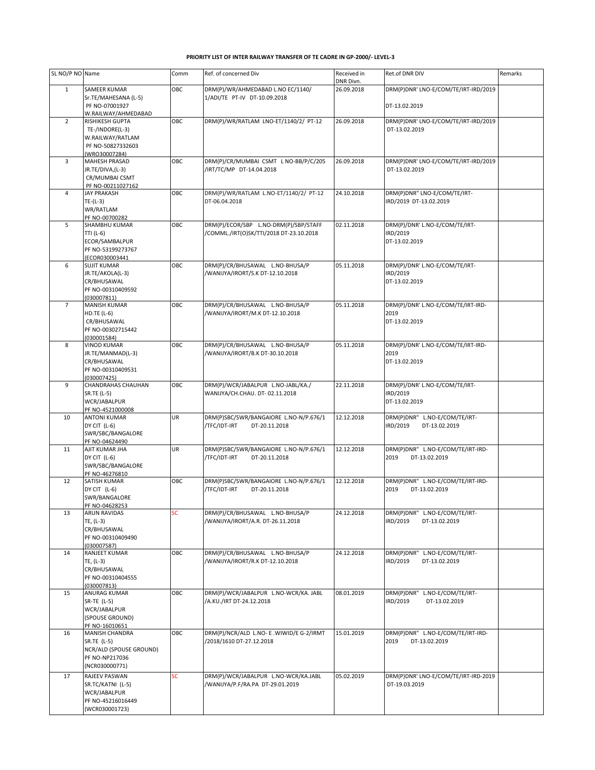## **PRIORITY LIST OF INTER RAILWAY TRANSFER OF TE CADRE IN GP-2000/- LEVEL-3**

| SL NO/P NO Name |                                       | Comm       | Ref. of concerned Div                                               | Received in<br>DNR Divn. | Ret.of DNR DIV                             | Remarks |
|-----------------|---------------------------------------|------------|---------------------------------------------------------------------|--------------------------|--------------------------------------------|---------|
| $\mathbf{1}$    | SAMEER KUMAR                          | OBC        | DRM(P)/WR/AHMEDABAD L.NO EC/1140/                                   | 26.09.2018               | DRM(P)DNR' LNO-E/COM/TE/IRT-IRD/2019       |         |
|                 | Sr.TE/MAHESANA (L-5)                  |            | 1/ADI/TE PT-IV DT-10.09.2018                                        |                          |                                            |         |
|                 | PF NO-07001927<br>W.RAILWAY/AHMEDABAD |            |                                                                     |                          | DT-13.02.2019                              |         |
| $\overline{2}$  | RISHIKESH GUPTA                       | ОВС        | DRM(P)/WR/RATLAM LNO-ET/1140/2/ PT-12                               | 26.09.2018               | DRM(P)DNR' LNO-E/COM/TE/IRT-IRD/2019       |         |
|                 | TE-/INDORE(L-3)                       |            |                                                                     |                          | DT-13.02.2019                              |         |
|                 | W.RAILWAY/RATLAM                      |            |                                                                     |                          |                                            |         |
|                 | PF NO-50827332603<br>(WRO30007284)    |            |                                                                     |                          |                                            |         |
| 3               | MAHESH PRASAD                         | OBC        | DRM(P)/CR/MUMBAI CSMT L NO-BB/P/C/205                               | 26.09.2018               | DRM(P)DNR' LNO-E/COM/TE/IRT-IRD/2019       |         |
|                 | JR.TE/DIVA,(L-3)                      |            | /IRT/TC/MP DT-14.04.2018                                            |                          | DT-13.02.2019                              |         |
|                 | CR/MUMBAI CSMT<br>PF NO-00211027162   |            |                                                                     |                          |                                            |         |
| $\overline{4}$  | JAY PRAKASH                           | OBC        | DRM(P)/WR/RATLAM L.NO-ET/1140/2/ PT-12                              | 24.10.2018               | DRM(P)DNR" LNO-E/COM/TE/IRT-               |         |
|                 | $TE-(L-3)$                            |            | DT-06.04.2018                                                       |                          | IRD/2019 DT-13.02.2019                     |         |
|                 | WR/RATLAM<br>PF NO-00700282           |            |                                                                     |                          |                                            |         |
| 5               | SHAMBHU KUMAR                         | OBC        | DRM(P)/ECOR/SBP L.NO-DRM(P)/SBP/STAFF                               | 02.11.2018               | DRM(P)/DNR' L.NO-E/COM/TE/IRT-             |         |
|                 | TTI (L-6)                             |            | /COMML./IRT(O)SK/TTI/2018 DT-23.10.2018                             |                          | IRD/2019                                   |         |
|                 | ECOR/SAMBALPUR<br>PF NO-53199273767   |            |                                                                     |                          | DT-13.02.2019                              |         |
|                 | (ECOR030003441                        |            |                                                                     |                          |                                            |         |
| 6               | <b>SUJIT KUMAR</b>                    | OBC        | DRM(P)/CR/BHUSAWAL L.NO-BHUSA/P                                     | 05.11.2018               | DRM(P)/DNR' L.NO-E/COM/TE/IRT-             |         |
|                 | JR.TE/AKOLA(L-3)<br>CR/BHUSAWAL       |            | /WANIJYA/IRORT/S.K DT-12.10.2018                                    |                          | IRD/2019<br>DT-13.02.2019                  |         |
|                 | PF NO-00310409592                     |            |                                                                     |                          |                                            |         |
|                 | (030007811)                           |            |                                                                     |                          |                                            |         |
| $\overline{7}$  | <b>MANISH KUMAR</b><br>$HD.TE (L-6)$  | OBC        | DRM(P)/CR/BHUSAWAL L.NO-BHUSA/P<br>/WANIJYA/IRORT/M.K DT-12.10.2018 | 05.11.2018               | DRM(P)/DNR' L.NO-E/COM/TE/IRT-IRD-<br>2019 |         |
|                 | CR/BHUSAWAL                           |            |                                                                     |                          | DT-13.02.2019                              |         |
|                 | PF NO-00302715442                     |            |                                                                     |                          |                                            |         |
| 8               | (030001584)<br><b>VINOD KUMAR</b>     | <b>OBC</b> | DRM(P)/CR/BHUSAWAL L.NO-BHUSA/P                                     | 05.11.2018               | DRM(P)/DNR' L.NO-E/COM/TE/IRT-IRD-         |         |
|                 | JR.TE/MANMAD(L-3)                     |            | /WANIJYA/IRORT/B.K DT-30.10.2018                                    |                          | 2019                                       |         |
|                 | CR/BHUSAWAL                           |            |                                                                     |                          | DT-13.02.2019                              |         |
|                 | PF NO-00310409531<br>(030007425)      |            |                                                                     |                          |                                            |         |
| 9               | CHANDRAHAS CHAUHAN                    | OBC        | DRM(P)/WCR/JABALPUR L.NO-JABL/KA./                                  | 22.11.2018               | DRM(P)/DNR' L.NO-E/COM/TE/IRT-             |         |
|                 | SR.TE (L-5)                           |            | WANIJYA/CH.CHAU. DT-02.11.2018                                      |                          | IRD/2019                                   |         |
|                 | WCR/JABALPUR<br>PF NO-4521000008      |            |                                                                     |                          | DT-13.02.2019                              |         |
| 10              | <b>ANTONI KUMAR</b>                   | UR         | DRM(P)SBC/SWR/BANGAIORE L.NO-N/P.676/1                              | 12.12.2018               | DRM(P)DNR" L.NO-E/COM/TE/IRT-              |         |
|                 | DY CIT (L-6)                          |            | /TFC/IDT-IRT<br>DT-20.11.2018                                       |                          | IRD/2019<br>DT-13.02.2019                  |         |
|                 | SWR/SBC/BANGALORE<br>PF NO-04624490   |            |                                                                     |                          |                                            |         |
| 11              | AJIT KUMAR JHA                        | UR         | DRM(P)SBC/SWR/BANGAIORE L.NO-N/P.676/1                              | 12.12.2018               | DRM(P)DNR" L.NO-E/COM/TE/IRT-IRD-          |         |
|                 | DY CIT (L-6)                          |            | /TFC/IDT-IRT<br>DT-20.11.2018                                       |                          | 2019<br>DT-13.02.2019                      |         |
|                 | SWR/SBC/BANGALORE<br>PF NO-46276810   |            |                                                                     |                          |                                            |         |
| 12              | SATISH KUMAR                          | OBC        | DRM(P)SBC/SWR/BANGAIORE L.NO-N/P.676/1                              | 12.12.2018               | DRM(P)DNR" L.NO-E/COM/TE/IRT-IRD-          |         |
|                 | DY CIT $(L-6)$                        |            | /TFC/IDT-IRT<br>DT-20.11.2018                                       |                          | 2019<br>DT-13.02.2019                      |         |
|                 | SWR/BANGALORE<br>PF NO-04628253       |            |                                                                     |                          |                                            |         |
| 13              | <b>ARUN RAVIDAS</b>                   | SC         | DRM(P)/CR/BHUSAWAL L.NO-BHUSA/P                                     | 24.12.2018               | DRM(P)DNR" L.NO-E/COM/TE/IRT-              |         |
|                 | TE, (L-3)                             |            | /WANIJYA/IRORT/A.R. DT-26.11.2018                                   |                          | IRD/2019<br>DT-13.02.2019                  |         |
|                 | CR/BHUSAWAL<br>PF NO-00310409490      |            |                                                                     |                          |                                            |         |
|                 | (030007587)                           |            |                                                                     |                          |                                            |         |
| 14              | RANJEET KUMAR                         | OBC        | DRM(P)/CR/BHUSAWAL L.NO-BHUSA/P                                     | 24.12.2018               | DRM(P)DNR" L.NO-E/COM/TE/IRT-              |         |
|                 | TE, (L-3)<br>CR/BHUSAWAL              |            | /WANIJYA/IRORT/R.K DT-12.10.2018                                    |                          | IRD/2019<br>DT-13.02.2019                  |         |
|                 | PF NO-00310404555                     |            |                                                                     |                          |                                            |         |
| 15              | (030007813)<br>ANURAG KUMAR           | OBC        | DRM(P)/WCR/JABALPUR L.NO-WCR/KA. JABL                               | 08.01.2019               | DRM(P)DNR" L.NO-E/COM/TE/IRT-              |         |
|                 | SR-TE (L-5)                           |            | A.KU./IRT DT-24.12.2018/                                            |                          | IRD/2019<br>DT-13.02.2019                  |         |
|                 | WCR/JABALPUR                          |            |                                                                     |                          |                                            |         |
|                 | (SPOUSE GROUND)                       |            |                                                                     |                          |                                            |         |
| 16              | PF NO-16010651<br>MANISH CHANDRA      | OBC        | DRM(P)/NCR/ALD L.NO- E .WIWID/E G-2/IRMT                            | 15.01.2019               | DRM(P)DNR" L.NO-E/COM/TE/IRT-IRD-          |         |
|                 | SR.TE (L-5)                           |            | /2018/1610 DT-27.12.2018                                            |                          | 2019<br>DT-13.02.2019                      |         |
|                 | NCR/ALD (SPOUSE GROUND)               |            |                                                                     |                          |                                            |         |
|                 | PF NO-NP217036<br>(NCR030000771)      |            |                                                                     |                          |                                            |         |
| 17              | RAJEEV PASWAN                         | SC.        | DRM(P)/WCR/JABALPUR L.NO-WCR/KA.JABL                                | 05.02.2019               | DRM(P)DNR' LNO-E/COM/TE/IRT-IRD-2019       |         |
|                 | SR.TC/KATNI (L-5)                     |            | /WANIJYA/P.F/RA.PA DT-29.01.2019                                    |                          | DT-19.03.2019                              |         |
|                 | WCR/JABALPUR                          |            |                                                                     |                          |                                            |         |
|                 | PF NO-45216016449<br>(WCR030001723)   |            |                                                                     |                          |                                            |         |
|                 |                                       |            |                                                                     |                          |                                            |         |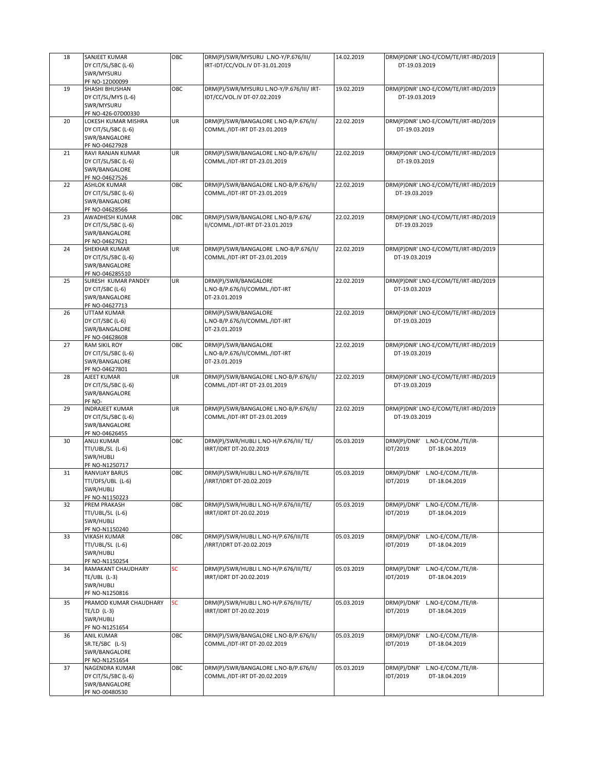| 18 | SANJEET KUMAR                          | OBC       | DRM(P)/SWR/MYSURU L.NO-Y/P.676/III/      | 14.02.2019 | DRM(P)DNR' LNO-E/COM/TE/IRT-IRD/2019 |
|----|----------------------------------------|-----------|------------------------------------------|------------|--------------------------------------|
|    | DY CIT/SL/SBC (L-6)                    |           | IRT-IDT/CC/VOL.IV DT-31.01.2019          |            | DT-19.03.2019                        |
|    | SWR/MYSURU                             |           |                                          |            |                                      |
|    | PF NO-12D00099                         |           |                                          |            |                                      |
|    |                                        |           |                                          |            |                                      |
| 19 | SHASHI BHUSHAN                         | OBC       | DRM(P)/SWR/MYSURU L.NO-Y/P.676/III/ IRT- | 19.02.2019 | DRM(P)DNR' LNO-E/COM/TE/IRT-IRD/2019 |
|    | DY CIT/SL/MYS (L-6)                    |           | IDT/CC/VOL.IV DT-07.02.2019              |            | DT-19.03.2019                        |
|    | SWR/MYSURU                             |           |                                          |            |                                      |
|    | PF NO-426-07D00330                     |           |                                          |            |                                      |
| 20 | LOKESH KUMAR MISHRA                    | UR.       | DRM(P)/SWR/BANGALORE L.NO-B/P.676/II/    | 22.02.2019 | DRM(P)DNR' LNO-E/COM/TE/IRT-IRD/2019 |
|    | DY CIT/SL/SBC (L-6)                    |           | COMML./IDT-IRT DT-23.01.2019             |            | DT-19.03.2019                        |
|    | SWR/BANGALORE                          |           |                                          |            |                                      |
|    | PF NO-04627928                         |           |                                          |            |                                      |
| 21 | RAVI RANJAN KUMAR                      | UR        | DRM(P)/SWR/BANGALORE L.NO-B/P.676/II/    | 22.02.2019 | DRM(P)DNR' LNO-E/COM/TE/IRT-IRD/2019 |
|    | DY CIT/SL/SBC (L-6)                    |           | COMML./IDT-IRT DT-23.01.2019             |            | DT-19.03.2019                        |
|    | SWR/BANGALORE                          |           |                                          |            |                                      |
|    | PF NO-04627526                         |           |                                          |            |                                      |
| 22 | <b>ASHLOK KUMAR</b>                    | OBC       | DRM(P)/SWR/BANGALORE L.NO-B/P.676/II/    | 22.02.2019 | DRM(P)DNR' LNO-E/COM/TE/IRT-IRD/2019 |
|    | DY CIT/SL/SBC (L-6)                    |           | COMML./IDT-IRT DT-23.01.2019             |            | DT-19.03.2019                        |
|    | SWR/BANGALORE                          |           |                                          |            |                                      |
|    | PF NO-04628566                         |           |                                          |            |                                      |
| 23 | AWADHESH KUMAR                         | OBC       | DRM(P)/SWR/BANGALORE L.NO-B/P.676/       | 22.02.2019 | DRM(P)DNR' LNO-E/COM/TE/IRT-IRD/2019 |
|    | DY CIT/SL/SBC (L-6)                    |           | II/COMML./IDT-IRT DT-23.01.2019          |            | DT-19.03.2019                        |
|    | SWR/BANGALORE                          |           |                                          |            |                                      |
|    | PF NO-04627621                         |           |                                          |            |                                      |
| 24 | <b>SHEKHAR KUMAR</b>                   | UR        | DRM(P)/SWR/BANGALORE L.NO-B/P.676/II/    | 22.02.2019 | DRM(P)DNR' LNO-E/COM/TE/IRT-IRD/2019 |
|    | DY CIT/SL/SBC (L-6)                    |           | COMML./IDT-IRT DT-23.01.2019             |            | DT-19.03.2019                        |
|    | SWR/BANGALORE                          |           |                                          |            |                                      |
|    |                                        |           |                                          |            |                                      |
| 25 | PF NO-046285510<br>SURESH KUMAR PANDEY | UR        | DRM(P)/SWR/BANGALORE                     | 22.02.2019 | DRM(P)DNR' LNO-E/COM/TE/IRT-IRD/2019 |
|    |                                        |           |                                          |            | DT-19.03.2019                        |
|    | DY CIT/SBC (L-6)                       |           | L.NO-B/P.676/II/COMML./IDT-IRT           |            |                                      |
|    | SWR/BANGALORE                          |           | DT-23.01.2019                            |            |                                      |
|    | PF NO-04627713                         |           |                                          |            |                                      |
| 26 | UTTAM KUMAR                            |           | DRM(P)/SWR/BANGALORE                     | 22.02.2019 | DRM(P)DNR' LNO-E/COM/TE/IRT-IRD/2019 |
|    | DY CIT/SBC (L-6)                       |           | L.NO-B/P.676/II/COMML./IDT-IRT           |            | DT-19.03.2019                        |
|    | SWR/BANGALORE                          |           | DT-23.01.2019                            |            |                                      |
|    | PF NO-04628608                         |           |                                          |            |                                      |
| 27 | <b>RAM SIKIL ROY</b>                   | OBC       | DRM(P)/SWR/BANGALORE                     | 22.02.2019 | DRM(P)DNR' LNO-E/COM/TE/IRT-IRD/2019 |
|    | DY CIT/SL/SBC (L-6)                    |           | L.NO-B/P.676/II/COMML./IDT-IRT           |            | DT-19.03.2019                        |
|    | SWR/BANGALORE                          |           | DT-23.01.2019                            |            |                                      |
|    | PF NO-04627801                         |           |                                          |            |                                      |
| 28 | AJEET KUMAR                            | UR        | DRM(P)/SWR/BANGALORE L.NO-B/P.676/II/    | 22.02.2019 | DRM(P)DNR' LNO-E/COM/TE/IRT-IRD/2019 |
|    | DY CIT/SL/SBC (L-6)                    |           | COMML./IDT-IRT DT-23.01.2019             |            | DT-19.03.2019                        |
|    | SWR/BANGALORE                          |           |                                          |            |                                      |
|    | PF NO-                                 |           |                                          |            |                                      |
| 29 | <b>INDRAJEET KUMAR</b>                 | UR        | DRM(P)/SWR/BANGALORE L.NO-B/P.676/II/    | 22.02.2019 | DRM(P)DNR' LNO-E/COM/TE/IRT-IRD/2019 |
|    | DY CIT/SL/SBC (L-6)                    |           | COMML./IDT-IRT DT-23.01.2019             |            | DT-19.03.2019                        |
|    | SWR/BANGALORE                          |           |                                          |            |                                      |
|    | PF NO-04626455                         |           |                                          |            |                                      |
| 30 | ANUJ KUMAR                             | OBC       | DRM(P)/SWR/HUBLI L.NO-H/P.676/III/ TE/   | 05.03.2019 | DRM(P)/DNR'<br>L.NO-E/COM./TE/IR-    |
|    | TTI/UBL/SL (L-6)                       |           | IRRT/IDRT DT-20.02.2019                  |            | IDT/2019<br>DT-18.04.2019            |
|    | SWR/HUBLI                              |           |                                          |            |                                      |
|    | PF NO-N1250717                         |           |                                          |            |                                      |
| 31 | RANVIJAY BARUS                         | OBC       | DRM(P)/SWR/HUBLI L.NO-H/P.676/III/TE     | 05.03.2019 | DRM(P)/DNR'<br>L.NO-E/COM./TE/IR-    |
|    | TTI/DFS/UBL (L-6)                      |           | /IRRT/IDRT DT-20.02.2019                 |            | IDT/2019<br>DT-18.04.2019            |
|    | SWR/HUBLI                              |           |                                          |            |                                      |
|    | PF NO-N1150223                         |           |                                          |            |                                      |
| 32 | <b>PREM PRAKASH</b>                    | OBC       | DRM(P)/SWR/HUBLI L.NO-H/P.676/III/TE/    | 05.03.2019 | DRM(P)/DNR'<br>L.NO-E/COM./TE/IR-    |
|    | TTI/UBL/SL (L-6)                       |           | IRRT/IDRT DT-20.02.2019                  |            | IDT/2019<br>DT-18.04.2019            |
|    | SWR/HUBLI                              |           |                                          |            |                                      |
|    | PF NO-N1150240                         |           |                                          |            |                                      |
| 33 | <b>VIKASH KUMAR</b>                    | OBC       | DRM(P)/SWR/HUBLI L.NO-H/P.676/III/TE     | 05.03.2019 | DRM(P)/DNR'<br>L.NO-E/COM./TE/IR-    |
|    | TTI/UBL/SL (L-6)                       |           | /IRRT/IDRT DT-20.02.2019                 |            | IDT/2019<br>DT-18.04.2019            |
|    | SWR/HUBLI                              |           |                                          |            |                                      |
|    | PF NO-N1150254                         |           |                                          |            |                                      |
| 34 | RAMAKANT CHAUDHARY                     | SC.       | DRM(P)/SWR/HUBLI L.NO-H/P.676/III/TE/    | 05.03.2019 | DRM(P)/DNR'<br>L.NO-E/COM./TE/IR-    |
|    | $TE/UBL$ (L-3)                         |           | IRRT/IDRT DT-20.02.2019                  |            | IDT/2019<br>DT-18.04.2019            |
|    | SWR/HUBLI                              |           |                                          |            |                                      |
|    | PF NO-N1250816                         |           |                                          |            |                                      |
|    | PRAMOD KUMAR CHAUDHARY                 | <b>SC</b> |                                          |            |                                      |
| 35 |                                        |           | DRM(P)/SWR/HUBLI L.NO-H/P.676/III/TE/    | 05.03.2019 | DRM(P)/DNR'<br>L.NO-E/COM./TE/IR-    |
|    | $TE/LD$ (L-3)                          |           | IRRT/IDRT DT-20.02.2019                  |            | IDT/2019<br>DT-18.04.2019            |
|    | SWR/HUBLI                              |           |                                          |            |                                      |
|    | PF NO-N1251654                         |           |                                          |            |                                      |
| 36 | <b>ANIL KUMAR</b>                      | ОВС       | DRM(P)/SWR/BANGALORE L.NO-B/P.676/II/    | 05.03.2019 | DRM(P)/DNR'<br>L.NO-E/COM./TE/IR-    |
|    | SR.TE/SBC (L-5)                        |           | COMML./IDT-IRT DT-20.02.2019             |            | IDT/2019<br>DT-18.04.2019            |
|    | SWR/BANGALORE                          |           |                                          |            |                                      |
|    | PF NO-N1251654                         |           |                                          |            |                                      |
| 37 | NAGENDRA KUMAR                         | OBC       | DRM(P)/SWR/BANGALORE L.NO-B/P.676/II/    | 05.03.2019 | L.NO-E/COM./TE/IR-<br>DRM(P)/DNR'    |
|    | DY CIT/SL/SBC (L-6)                    |           | COMML./IDT-IRT DT-20.02.2019             |            | IDT/2019<br>DT-18.04.2019            |
|    | SWR/BANGALORE                          |           |                                          |            |                                      |
|    | PF NO-00480530                         |           |                                          |            |                                      |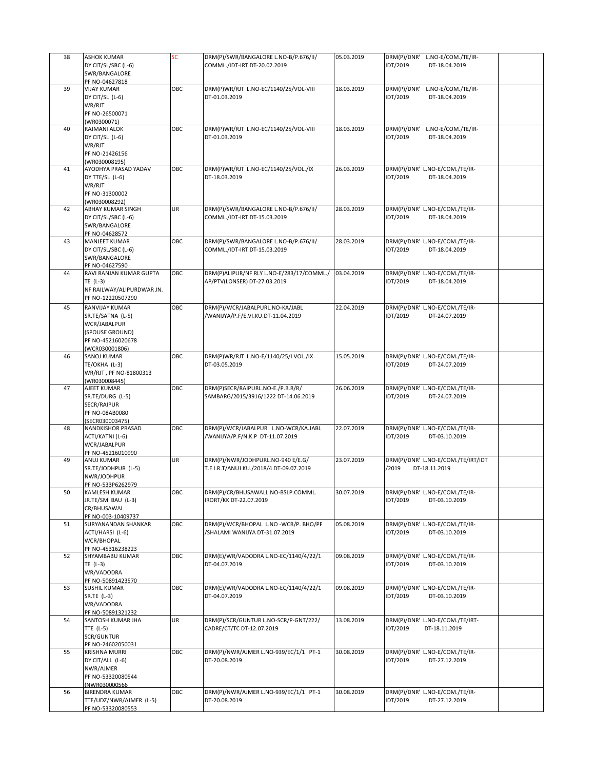| 38 | <b>ASHOK KUMAR</b>                           | SC  | DRM(P)/SWR/BANGALORE L.NO-B/P.676/II/     | 05.03.2019 | DRM(P)/DNR' L.NO-E/COM./TE/IR-     |  |
|----|----------------------------------------------|-----|-------------------------------------------|------------|------------------------------------|--|
|    | DY CIT/SL/SBC (L-6)                          |     | COMML./IDT-IRT DT-20.02.2019              |            | IDT/2019<br>DT-18.04.2019          |  |
|    | SWR/BANGALORE                                |     |                                           |            |                                    |  |
|    | PF NO-04627818                               |     |                                           |            |                                    |  |
| 39 | <b>VIJAY KUMAR</b>                           | OBC | DRM(P)WR/RJT L.NO-EC/1140/25/VOL-VIII     | 18.03.2019 | DRM(P)/DNR' L.NO-E/COM./TE/IR-     |  |
|    | DY CIT/SL (L-6)                              |     | DT-01.03.2019                             |            | IDT/2019<br>DT-18.04.2019          |  |
|    | WR/RJT                                       |     |                                           |            |                                    |  |
|    | PF NO-26500071                               |     |                                           |            |                                    |  |
|    | (WR0300071)                                  |     |                                           |            |                                    |  |
| 40 | RAJMANI ALOK                                 | OBC | DRM(P)WR/RJT L.NO-EC/1140/25/VOL-VIII     | 18.03.2019 | DRM(P)/DNR' L.NO-E/COM./TE/IR-     |  |
|    | DY CIT/SL (L-6)                              |     | DT-01.03.2019                             |            | IDT/2019<br>DT-18.04.2019          |  |
|    | WR/RJT                                       |     |                                           |            |                                    |  |
|    | PF NO-21426156                               |     |                                           |            |                                    |  |
|    | (WR030008195)                                |     |                                           |            |                                    |  |
| 41 | AYODHYA PRASAD YADAV                         | OBC | DRM(P)WR/RJT L.NO-EC/1140/25/VOL./IX      | 26.03.2019 | DRM(P)/DNR' L.NO-E/COM./TE/IR-     |  |
|    | DY TTE/SL (L-6)                              |     | DT-18.03.2019                             |            | IDT/2019<br>DT-18.04.2019          |  |
|    | WR/RJT                                       |     |                                           |            |                                    |  |
|    | PF NO-31300002                               |     |                                           |            |                                    |  |
|    | (WR030008292)                                |     |                                           |            |                                    |  |
| 42 | ABHAY KUMAR SINGH                            | UR  | DRM(P)/SWR/BANGALORE L.NO-B/P.676/II/     | 28.03.2019 | DRM(P)/DNR' L.NO-E/COM./TE/IR-     |  |
|    | DY CIT/SL/SBC (L-6)                          |     | COMML./IDT-IRT DT-15.03.2019              |            | IDT/2019<br>DT-18.04.2019          |  |
|    | SWR/BANGALORE                                |     |                                           |            |                                    |  |
| 43 | PF NO-04628572<br>MANJEET KUMAR              | OBC | DRM(P)/SWR/BANGALORE L.NO-B/P.676/II/     | 28.03.2019 | DRM(P)/DNR' L.NO-E/COM./TE/IR-     |  |
|    | DY CIT/SL/SBC (L-6)                          |     | COMML./IDT-IRT DT-15.03.2019              |            | IDT/2019<br>DT-18.04.2019          |  |
|    | SWR/BANGALORE                                |     |                                           |            |                                    |  |
|    | PF NO-04627590                               |     |                                           |            |                                    |  |
| 44 | RAVI RANJAN KUMAR GUPTA                      | OBC | DRM(P)ALIPUR/NF RLY L.NO-E/283/17/COMML./ | 03.04.2019 | DRM(P)/DNR' L.NO-E/COM./TE/IR-     |  |
|    | TE (L-3)                                     |     | AP/PTV(LONSER) DT-27.03.2019              |            | IDT/2019<br>DT-18.04.2019          |  |
|    | NF RAILWAY/ALIPURDWAR JN.                    |     |                                           |            |                                    |  |
|    | PF NO-12220507290                            |     |                                           |            |                                    |  |
|    | <b>RANVIJAY KUMAR</b>                        |     |                                           |            |                                    |  |
| 45 |                                              | OBC | DRM(P)/WCR/JABALPURL.NO-KA/JABL           | 22.04.2019 | DRM(P)/DNR' L.NO-E/COM./TE/IR-     |  |
|    | SR.TE/SATNA (L-5)                            |     | /WANIJYA/P.F/E.VI.KU.DT-11.04.2019        |            | IDT/2019<br>DT-24.07.2019          |  |
|    | WCR/JABALPUR                                 |     |                                           |            |                                    |  |
|    | (SPOUSE GROUND)                              |     |                                           |            |                                    |  |
|    | PF NO-45216020678                            |     |                                           |            |                                    |  |
| 46 | (WCR030001806)<br>SANOJ KUMAR                | OBC | DRM(P)WR/RJT L.NO-E/1140/25/I VOL./IX     | 15.05.2019 | DRM(P)/DNR' L.NO-E/COM./TE/IR-     |  |
|    | TE/OKHA (L-3)                                |     | DT-03.05.2019                             |            | IDT/2019<br>DT-24.07.2019          |  |
|    | WR/RJT, PF NO-81800313                       |     |                                           |            |                                    |  |
|    | (WR030008445)                                |     |                                           |            |                                    |  |
|    |                                              |     |                                           |            |                                    |  |
|    |                                              |     |                                           |            |                                    |  |
| 47 | AJEET KUMAR                                  | OBC | DRM(P)SECR/RAIPURL.NO-E./P.B.R/R/         | 26.06.2019 | DRM(P)/DNR' L.NO-E/COM./TE/IR-     |  |
|    | SR.TE/DURG (L-5)                             |     | SAMBARG/2015/3916/1222 DT-14.06.2019      |            | IDT/2019<br>DT-24.07.2019          |  |
|    | SECR/RAIPUR                                  |     |                                           |            |                                    |  |
|    | PF NO-08AB0080                               |     |                                           |            |                                    |  |
| 48 | (SECR030003475)<br>NANDKISHOR PRASAD         | OBC | DRM(P)/WCR/JABALPUR L.NO-WCR/KA.JABL      | 22.07.2019 | DRM(P)/DNR' L.NO-E/COM./TE/IR-     |  |
|    | ACTI/KATNI (L-6)                             |     | /WANIJYA/P.F/N.K.P DT-11.07.2019          |            | IDT/2019<br>DT-03.10.2019          |  |
|    | WCR/JABALPUR                                 |     |                                           |            |                                    |  |
|    | PF NO-45216010990                            |     |                                           |            |                                    |  |
| 49 | ANUJ KUMAR                                   | UR  | DRM(P)/NWR/JODHPURL.NO-940 E/E.G/         | 23.07.2019 | DRM(P)/DNR' L.NO-E/COM./TE/IRT/IDT |  |
|    | SR.TE/JODHPUR (L-5)                          |     | T.E I.R.T/ANUJ KU./2018/4 DT-09.07.2019   |            | /2019<br>DT-18.11.2019             |  |
|    | NWR/JODHPUR                                  |     |                                           |            |                                    |  |
|    | PF NO-533P6262979                            |     |                                           |            |                                    |  |
| 50 | <b>KAMLESH KUMAR</b>                         | OBC | DRM(P)/CR/BHUSAWALL.NO-BSLP.COMML.        | 30.07.2019 | DRM(P)/DNR' L.NO-E/COM./TE/IR-     |  |
|    | JR.TE/SM BAU (L-3)                           |     | IRORT/KK DT-22.07.2019                    |            | IDT/2019<br>DT-03.10.2019          |  |
|    | CR/BHUSAWAL                                  |     |                                           |            |                                    |  |
|    | PF NO-003-10409737                           |     |                                           |            |                                    |  |
| 51 | SURYANANDAN SHANKAR                          | OBC | DRM(P)/WCR/BHOPAL L.NO -WCR/P. BHO/PF     | 05.08.2019 | DRM(P)/DNR' L.NO-E/COM./TE/IR-     |  |
|    | ACTI/HARSI (L-6)                             |     | /SHALAMI WANIJYA DT-31.07.2019            |            | IDT/2019<br>DT-03.10.2019          |  |
|    | <b>WCR/BHOPAL</b>                            |     |                                           |            |                                    |  |
|    | PF NO-45316238223                            |     |                                           |            |                                    |  |
| 52 | SHYAMBABU KUMAR                              | OBC | DRM(E)/WR/VADODRA L.NO-EC/1140/4/22/1     | 09.08.2019 | DRM(P)/DNR' L.NO-E/COM./TE/IR-     |  |
|    | TE (L-3)                                     |     | DT-04.07.2019                             |            | IDT/2019<br>DT-03.10.2019          |  |
|    | WR/VADODRA                                   |     |                                           |            |                                    |  |
| 53 | PF NO-50891423570<br><b>SUSHIL KUMAR</b>     | OBC | DRM(E)/WR/VADODRA L.NO-EC/1140/4/22/1     | 09.08.2019 | DRM(P)/DNR' L.NO-E/COM./TE/IR-     |  |
|    |                                              |     |                                           |            |                                    |  |
|    | SR.TE (L-3)<br>WR/VADODRA                    |     | DT-04.07.2019                             |            | IDT/2019<br>DT-03.10.2019          |  |
|    | PF NO-50891321232                            |     |                                           |            |                                    |  |
| 54 | SANTOSH KUMAR JHA                            | UR  | DRM(P)/SCR/GUNTUR L.NO-SCR/P-GNT/222/     | 13.08.2019 | DRM(P)/DNR' L.NO-E/COM./TE/IRT-    |  |
|    | TTE (L-5)                                    |     | CADRE/CT/TC DT-12.07.2019                 |            | IDT/2019<br>DT-18.11.2019          |  |
|    | <b>SCR/GUNTUR</b>                            |     |                                           |            |                                    |  |
|    | PF NO-24602050031                            |     |                                           |            |                                    |  |
| 55 | <b>KRISHNA MURRI</b>                         | OBC | DRM(P)/NWR/AJMER L.NO-939/EC/1/1 PT-1     | 30.08.2019 | DRM(P)/DNR' L.NO-E/COM./TE/IR-     |  |
|    | DY CIT/ALL (L-6)                             |     | DT-20.08.2019                             |            | IDT/2019<br>DT-27.12.2019          |  |
|    | NWR/AJMER                                    |     |                                           |            |                                    |  |
|    | PF NO-53320080544                            |     |                                           |            |                                    |  |
|    | (NWR030000566                                |     |                                           |            |                                    |  |
| 56 | <b>BIRENDRA KUMAR</b>                        | OBC | DRM(P)/NWR/AJMER L.NO-939/EC/1/1 PT-1     | 30.08.2019 | DRM(P)/DNR' L.NO-E/COM./TE/IR-     |  |
|    | TTE/UDZ/NWR/AJMER (L-5)<br>PF NO-53320080553 |     | DT-20.08.2019                             |            | IDT/2019<br>DT-27.12.2019          |  |